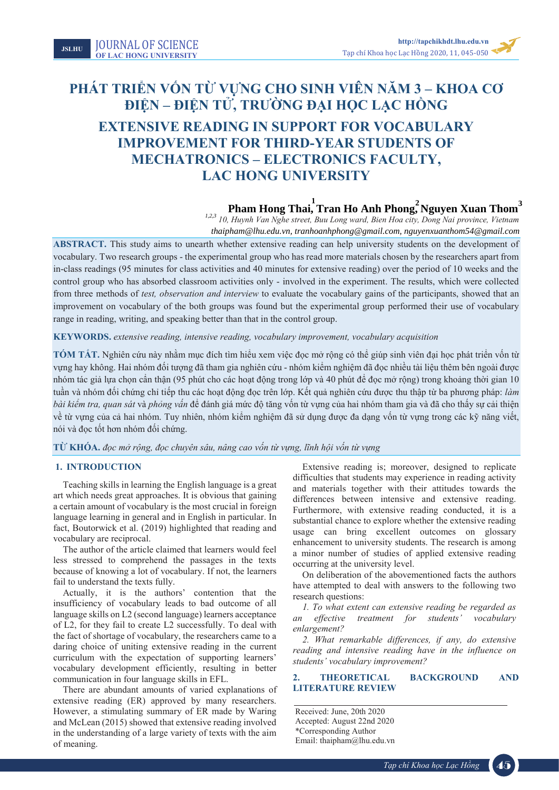Tạp chí Khoa học Lạc Hồng **2020**, 6, 1-6

# **PHÁT TRIỂN VỐN TỪ VỰNG CHO SINH VIÊN NĂM 3 – KHOA CƠ ĐIỆN – ĐIỆN TỬ, TRƯỜNG ĐẠI HỌC LẠC HỒNG EXTENSIVE READING IN SUPPORT FOR VOCABULARY IMPROVEMENT FOR THIRD-YEAR STUDENTS OF MECHATRONICS – ELECTRONICS FACULTY, LAC HONG UNIVERSITY**

## $\mathbf{P}$ **1111. Pham Hong Thai, Tran Ho Anh Phong, Nguyen Xuan Thom**

*210, Huynh Van Nghe street, Buu Long ward, Bien Hoa city, Dong Nai province, Vietnam* thaipham@lhu.edu.vn, tranhoanhphong@gmail.com, nguyenxuanthom54@gmail.com **Pham Hong Thai, Tran Ho Anh Phong, Nguyen Xuan Thom**<sup>3</sup><br>*thaipham@lhu.edu.vn, tranhoanhphong@gmail.com, nguyenxuanthom54@gmail.com*<br>*thaipham@lhu.edu.vn, tranhoanhphong@gmail.com, nguyenxuanthom54@gmail.com* 

**ABSTRACT.** This study aims to unearth whether extensive reading can help university students on the development of vocabulary. Two research groups - the experimental group who has read more materials chosen by the researchers apart from in-class readings (95 minutes for class activities and 40 minutes for extensive reading) over the period of 10 weeks and the control group who has absorbed classroom activities only - involved in the experiment. The results, which were collected from three methods of *test, observation and interview* to evaluate the vocabulary gains of the participants, showed that an improvement on vocabulary of the both groups was found but the experimental group performed their use of vocabulary range in reading, writing, and speaking better than that in the control group.

#### **KEYWORDS.** *extensive reading, intensive reading, vocabulary improvement, vocabulary acquisition*

**TÓM TẮT.** Nghiên cứu này nhằm mục đích tìm hiểu xem việc đọc mở rộng có thể giúp sinh viên đại học phát triển vốn từ vựng hay không. Hai nhóm đối tượng đã tham gia nghiên cứu - nhóm kiểm nghiệm đã đọc nhiều tài liệu thêm bên ngoài được nhóm tác giả lựa chọn cẩn thận (95 phút cho các hoạt động trong lớp và 40 phút để đọc mở rộng) trong khoảng thời gian 10 tuần và nhóm đối chứng chỉ tiếp thu các hoạt động đọc trên lớp. Kết quả nghiên cứu được thu thập từ ba phương pháp: *làm bài kiểm tra, quan sát* và *phỏng vấn* để đánh giá mức độ tăng vốn từ vựng của hai nhóm tham gia và đã cho thấy sự cải thiện về từ vựng của cả hai nhóm. Tuy nhiên, nhóm kiểm nghiệm đã sử dụng được đa dạng vốn từ vựng trong các kỹ năng viết, nói và đọc tốt hơn nhóm đối chứng.

TỪ KHÓA, đọc mở rộng, đọc chuyên sâu, nâng cao vốn từ vựng, lĩnh hội vốn từ vựng

#### **1. INTRODUCTION**

Teaching skills in learning the English language is a great art which needs great approaches. It is obvious that gaining a certain amount of vocabulary is the most crucial in foreign language learning in general and in English in particular. In fact, Boutorwick et al. (2019) highlighted that reading and vocabulary are reciprocal.

The author of the article claimed that learners would feel less stressed to comprehend the passages in the texts because of knowing a lot of vocabulary. If not, the learners fail to understand the texts fully.

Actually, it is the authors' contention that the insufficiency of vocabulary leads to bad outcome of all language skills on L2 (second language) learners acceptance of L2, for they fail to create L2 successfully. To deal with the fact of shortage of vocabulary, the researchers came to a daring choice of uniting extensive reading in the current curriculum with the expectation of supporting learners' vocabulary development efficiently, resulting in better communication in four language skills in EFL.

There are abundant amounts of varied explanations of extensive reading (ER) approved by many researchers. However, a stimulating summary of ER made by Waring and McLean (2015) showed that extensive reading involved in the understanding of a large variety of texts with the aim of meaning.

Extensive reading is; moreover, designed to replicate difficulties that students may experience in reading activity and materials together with their attitudes towards the differences between intensive and extensive reading. Furthermore, with extensive reading conducted, it is a substantial chance to explore whether the extensive reading usage can bring excellent outcomes on glossary enhancement to university students. The research is among a minor number of studies of applied extensive reading occurring at the university level.

On deliberation of the abovementioned facts the authors have attempted to deal with answers to the following two research questions:

*1. To what extent can extensive reading be regarded as an effective treatment for students' vocabulary enlargement?*

*2. What remarkable differences, if any, do extensive reading and intensive reading have in the influence on students' vocabulary improvement?*

## **2. THEORETICAL BACKGROUND AND LITERATURE REVIEW**

Received: June, 20th 2020 Accepted: August 22nd 2020 \*Corresponding Author Email: thaipham@lhu.edu.vn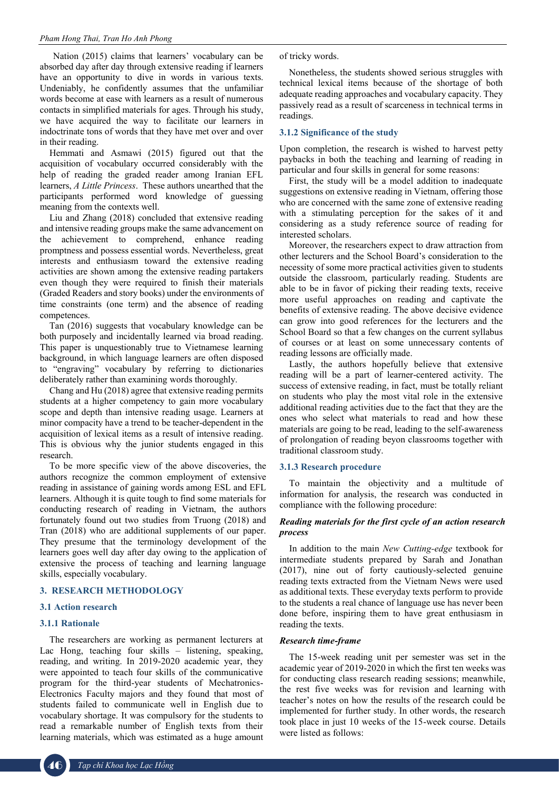Nation (2015) claims that learners' vocabulary can be absorbed day after day through extensive reading if learners have an opportunity to dive in words in various texts. Undeniably, he confidently assumes that the unfamiliar words become at ease with learners as a result of numerous contacts in simplified materials for ages. Through his study, we have acquired the way to facilitate our learners in indoctrinate tons of words that they have met over and over in their reading.

Hemmati and Asmawi (2015) figured out that the acquisition of vocabulary occurred considerably with the help of reading the graded reader among Iranian EFL learners, *A Little Princess*. These authors unearthed that the participants performed word knowledge of guessing meaning from the contexts well.

Liu and Zhang (2018) concluded that extensive reading and intensive reading groups make the same advancement on the achievement to comprehend, enhance reading promptness and possess essential words. Nevertheless, great interests and enthusiasm toward the extensive reading activities are shown among the extensive reading partakers even though they were required to finish their materials (Graded Readers and story books) under the environments of time constraints (one term) and the absence of reading competences.

Tan (2016) suggests that vocabulary knowledge can be both purposely and incidentally learned via broad reading. This paper is unquestionably true to Vietnamese learning background, in which language learners are often disposed to "engraving" vocabulary by referring to dictionaries deliberately rather than examining words thoroughly.

Chang and Hu (2018) agree that extensive reading permits students at a higher competency to gain more vocabulary scope and depth than intensive reading usage. Learners at minor compacity have a trend to be teacher-dependent in the acquisition of lexical items as a result of intensive reading. This is obvious why the junior students engaged in this research.

To be more specific view of the above discoveries, the authors recognize the common employment of extensive reading in assistance of gaining words among ESL and EFL learners. Although it is quite tough to find some materials for conducting research of reading in Vietnam, the authors fortunately found out two studies from Truong (2018) and Tran (2018) who are additional supplements of our paper. They presume that the terminology development of the learners goes well day after day owing to the application of extensive the process of teaching and learning language skills, especially vocabulary.

#### **3. RESEARCH METHODOLOGY**

#### **3.1 Action research**

#### **3.1.1 Rationale**

The researchers are working as permanent lecturers at Lac Hong, teaching four skills – listening, speaking, reading, and writing. In 2019-2020 academic year, they were appointed to teach four skills of the communicative program for the third-year students of Mechatronics-Electronics Faculty majors and they found that most of students failed to communicate well in English due to vocabulary shortage. It was compulsory for the students to read a remarkable number of English texts from their learning materials, which was estimated as a huge amount

of tricky words.

Nonetheless, the students showed serious struggles with technical lexical items because of the shortage of both adequate reading approaches and vocabulary capacity. They passively read as a result of scarceness in technical terms in readings.

#### **3.1.2 Significance of the study**

Upon completion, the research is wished to harvest petty paybacks in both the teaching and learning of reading in particular and four skills in general for some reasons:

First, the study will be a model addition to inadequate suggestions on extensive reading in Vietnam, offering those who are concerned with the same zone of extensive reading with a stimulating perception for the sakes of it and considering as a study reference source of reading for interested scholars.

Moreover, the researchers expect to draw attraction from other lecturers and the School Board's consideration to the necessity of some more practical activities given to students outside the classroom, particularly reading. Students are able to be in favor of picking their reading texts, receive more useful approaches on reading and captivate the benefits of extensive reading. The above decisive evidence can grow into good references for the lecturers and the School Board so that a few changes on the current syllabus of courses or at least on some unnecessary contents of reading lessons are officially made.

Lastly, the authors hopefully believe that extensive reading will be a part of learner-centered activity. The success of extensive reading, in fact, must be totally reliant on students who play the most vital role in the extensive additional reading activities due to the fact that they are the ones who select what materials to read and how these materials are going to be read, leading to the self-awareness of prolongation of reading beyon classrooms together with traditional classroom study.

#### **3.1.3 Research procedure**

To maintain the objectivity and a multitude of information for analysis, the research was conducted in compliance with the following procedure:

#### *Reading materials for the first cycle of an action research process*

In addition to the main *New Cutting-edge* textbook for intermediate students prepared by Sarah and Jonathan (2017), nine out of forty cautiously-selected genuine reading texts extracted from the Vietnam News were used as additional texts. These everyday texts perform to provide to the students a real chance of language use has never been done before, inspiring them to have great enthusiasm in reading the texts.

#### *Research time-frame*

The 15-week reading unit per semester was set in the academic year of 2019-2020 in which the first ten weeks was for conducting class research reading sessions; meanwhile, the rest five weeks was for revision and learning with teacher's notes on how the results of the research could be implemented for further study. In other words, the research took place in just 10 weeks of the 15-week course. Details were listed as follows: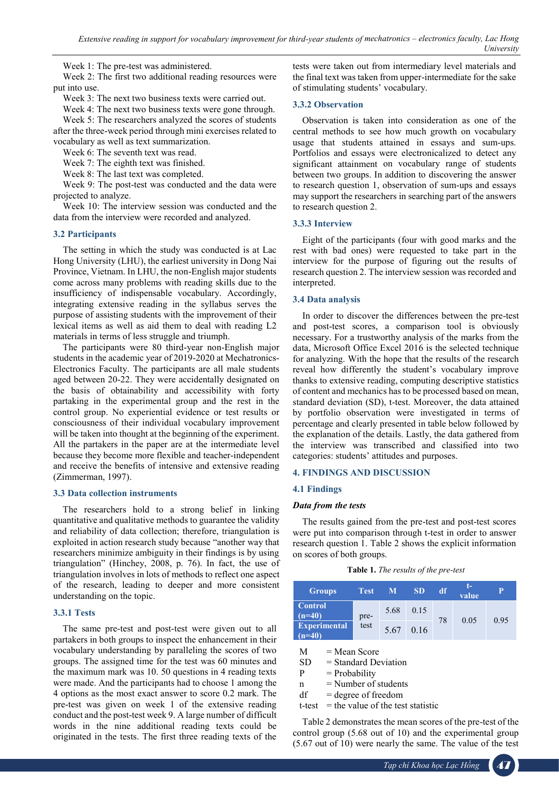Week 1: The pre-test was administered.

Week 2: The first two additional reading resources were put into use.

Week 3: The next two business texts were carried out.

Week 4: The next two business texts were gone through. Week 5: The researchers analyzed the scores of students after the three-week period through mini exercises related to vocabulary as well as text summarization.

Week 6: The seventh text was read.

Week 7: The eighth text was finished.

Week 8: The last text was completed.

Week 9: The post-test was conducted and the data were projected to analyze.

Week 10: The interview session was conducted and the data from the interview were recorded and analyzed.

## **3.2 Participants**

The setting in which the study was conducted is at Lac Hong University (LHU), the earliest university in Dong Nai Province, Vietnam. In LHU, the non-English major students come across many problems with reading skills due to the insufficiency of indispensable vocabulary. Accordingly, integrating extensive reading in the syllabus serves the purpose of assisting students with the improvement of their lexical items as well as aid them to deal with reading L2 materials in terms of less struggle and triumph.

The participants were 80 third-year non-English major students in the academic year of 2019-2020 at Mechatronics-Electronics Faculty. The participants are all male students aged between 20-22. They were accidentally designated on the basis of obtainability and accessibility with forty partaking in the experimental group and the rest in the control group. No experiential evidence or test results or consciousness of their individual vocabulary improvement will be taken into thought at the beginning of the experiment. All the partakers in the paper are at the intermediate level because they become more flexible and teacher-independent and receive the benefits of intensive and extensive reading (Zimmerman, 1997).

## **3.3 Data collection instruments**

The researchers hold to a strong belief in linking quantitative and qualitative methods to guarantee the validity and reliability of data collection; therefore, triangulation is exploited in action research study because "another way that researchers minimize ambiguity in their findings is by using triangulation" (Hinchey, 2008, p. 76). In fact, the use of triangulation involves in lots of methods to reflect one aspect of the research, leading to deeper and more consistent understanding on the topic.

## **3.3.1 Tests**

The same pre-test and post-test were given out to all partakers in both groups to inspect the enhancement in their vocabulary understanding by paralleling the scores of two groups. The assigned time for the test was 60 minutes and the maximum mark was 10. 50 questions in 4 reading texts were made. And the participants had to choose 1 among the 4 options as the most exact answer to score 0.2 mark. The pre-test was given on week 1 of the extensive reading conduct and the post-test week 9. A large number of difficult words in the nine additional reading texts could be originated in the tests. The first three reading texts of the

tests were taken out from intermediary level materials and the final text was taken from upper-intermediate for the sake of stimulating students' vocabulary.

## **3.3.2 Observation**

Observation is taken into consideration as one of the central methods to see how much growth on vocabulary usage that students attained in essays and sum-ups. Portfolios and essays were electronicalized to detect any significant attainment on vocabulary range of students between two groups. In addition to discovering the answer to research question 1, observation of sum-ups and essays may support the researchers in searching part of the answers to research question 2.

## **3.3.3 Interview**

Eight of the participants (four with good marks and the rest with bad ones) were requested to take part in the interview for the purpose of figuring out the results of research question 2. The interview session was recorded and interpreted.

#### **3.4 Data analysis**

In order to discover the differences between the pre-test and post-test scores, a comparison tool is obviously necessary. For a trustworthy analysis of the marks from the data, Microsoft Office Excel 2016 is the selected technique for analyzing. With the hope that the results of the research reveal how differently the student's vocabulary improve thanks to extensive reading, computing descriptive statistics of content and mechanics has to be processed based on mean, standard deviation (SD), t-test. Moreover, the data attained by portfolio observation were investigated in terms of percentage and clearly presented in table below followed by the explanation of the details. Lastly, the data gathered from the interview was transcribed and classified into two categories: students' attitudes and purposes.

## **4. FINDINGS AND DISCUSSION**

## **4.1 Findings**

#### *Data from the tests*

The results gained from the pre-test and post-test scores were put into comparison through t-test in order to answer research question 1. Table 2 shows the explicit information on scores of both groups.

| <b>Groups</b>                   | <b>Test</b>  | M    | <b>SD</b> | df | value | P    |
|---------------------------------|--------------|------|-----------|----|-------|------|
| <b>Control</b><br>$(n=40)$      | pre-<br>test | 5.68 | 0.15      | 78 | 0.05  | 0.95 |
| <b>Experimental</b><br>$(n=40)$ |              | 5.67 | 0.16      |    |       |      |

 $M = Mean Score$ 

SD = Standard Deviation

 $P = Probability$ 

 $n =$  Number of students

 $df = degree of freedom$ 

 $t-test$  = the value of the test statistic

Table 2 demonstrates the mean scores of the pre-test of the control group (5.68 out of 10) and the experimental group (5.67 out of 10) were nearly the same. The value of the test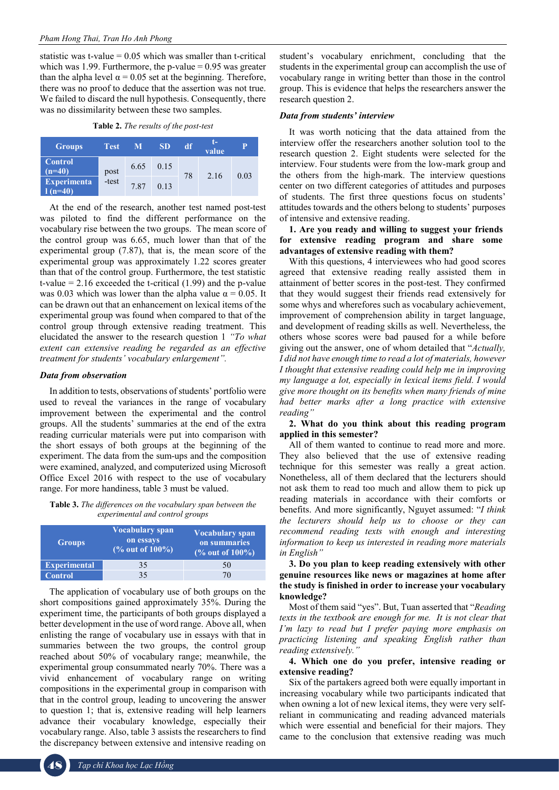statistic was t-value  $= 0.05$  which was smaller than t-critical which was 1.99. Furthermore, the p-value  $= 0.95$  was greater than the alpha level  $\alpha$  = 0.05 set at the beginning. Therefore, there was no proof to deduce that the assertion was not true. We failed to discard the null hypothesis. Consequently, there was no dissimilarity between these two samples.

**Table 2.** *The results of the post-test*

| <b>Groups</b>                  | <b>Test</b>   | M    | <b>SD</b> | df | T-<br>value |      |
|--------------------------------|---------------|------|-----------|----|-------------|------|
| <b>Control</b><br>$(n=40)$     | post<br>-test | 6.65 | 0.15      | 78 | 2.16        | 0.03 |
| <b>Experimenta</b><br>$(n=40)$ |               | 7.87 | 0.13      |    |             |      |

At the end of the research, another test named post-test was piloted to find the different performance on the vocabulary rise between the two groups. The mean score of the control group was 6.65, much lower than that of the experimental group (7.87), that is, the mean score of the experimental group was approximately 1.22 scores greater than that of the control group. Furthermore, the test statistic t-value  $= 2.16$  exceeded the t-critical  $(1.99)$  and the p-value was 0.03 which was lower than the alpha value  $\alpha = 0.05$ . It can be drawn out that an enhancement on lexical items of the experimental group was found when compared to that of the control group through extensive reading treatment. This elucidated the answer to the research question 1 *"To what extent can extensive reading be regarded as an effective treatment for students' vocabulary enlargement".*

#### *Data from observation*

In addition to tests, observations of students' portfolio were used to reveal the variances in the range of vocabulary improvement between the experimental and the control groups. All the students' summaries at the end of the extra reading curricular materials were put into comparison with the short essays of both groups at the beginning of the experiment. The data from the sum-ups and the composition were examined, analyzed, and computerized using Microsoft Office Excel 2016 with respect to the use of vocabulary range. For more handiness, table 3 must be valued.

**Table 3.** *The differences on the vocabulary span between the experimental and control groups*

| <b>Groups</b>       | Vocabulary span<br>on essays<br>(% out of 100%) | <b>Vocabulary span</b><br>on summaries<br>(% out of 100%) |  |  |
|---------------------|-------------------------------------------------|-----------------------------------------------------------|--|--|
| <b>Experimental</b> | 35                                              | 50                                                        |  |  |
| Control             | 35                                              | $\prime$ <sup><math>\prime</math></sup>                   |  |  |

The application of vocabulary use of both groups on the short compositions gained approximately 35%. During the experiment time, the participants of both groups displayed a better development in the use of word range. Above all, when enlisting the range of vocabulary use in essays with that in summaries between the two groups, the control group reached about 50% of vocabulary range; meanwhile, the experimental group consummated nearly 70%. There was a vivid enhancement of vocabulary range on writing compositions in the experimental group in comparison with that in the control group, leading to uncovering the answer to question 1; that is, extensive reading will help learners advance their vocabulary knowledge, especially their vocabulary range. Also, table 3 assists the researchers to find the discrepancy between extensive and intensive reading on

student's vocabulary enrichment, concluding that the students in the experimental group can accomplish the use of vocabulary range in writing better than those in the control group. This is evidence that helps the researchers answer the research question 2.

#### *Data from students' interview*

It was worth noticing that the data attained from the interview offer the researchers another solution tool to the research question 2. Eight students were selected for the interview. Four students were from the low-mark group and the others from the high-mark. The interview questions center on two different categories of attitudes and purposes of students. The first three questions focus on students' attitudes towards and the others belong to students' purposes of intensive and extensive reading.

**1. Are you ready and willing to suggest your friends for extensive reading program and share some advantages of extensive reading with them?** 

With this questions, 4 interviewees who had good scores agreed that extensive reading really assisted them in attainment of better scores in the post-test. They confirmed that they would suggest their friends read extensively for some whys and wherefores such as vocabulary achievement, improvement of comprehension ability in target language, and development of reading skills as well. Nevertheless, the others whose scores were bad paused for a while before giving out the answer, one of whom detailed that "*Actually, I did not have enough time to read a lot of materials, however I thought that extensive reading could help me in improving my language a lot, especially in lexical items field. I would give more thought on its benefits when many friends of mine had better marks after a long practice with extensive reading"*

#### **2. What do you think about this reading program applied in this semester?**

All of them wanted to continue to read more and more. They also believed that the use of extensive reading technique for this semester was really a great action. Nonetheless, all of them declared that the lecturers should not ask them to read too much and allow them to pick up reading materials in accordance with their comforts or benefits. And more significantly, Nguyet assumed: "*I think the lecturers should help us to choose or they can recommend reading texts with enough and interesting information to keep us interested in reading more materials in English"*

**3. Do you plan to keep reading extensively with other genuine resources like news or magazines at home after the study is finished in order to increase your vocabulary knowledge?** 

Most of them said "yes". But, Tuan asserted that "*Reading texts in the textbook are enough for me. It is not clear that I'm lazy to read but I prefer paying more emphasis on practicing listening and speaking English rather than reading extensively."*

#### **4. Which one do you prefer, intensive reading or extensive reading?**

Six of the partakers agreed both were equally important in increasing vocabulary while two participants indicated that when owning a lot of new lexical items, they were very selfreliant in communicating and reading advanced materials which were essential and beneficial for their majors. They came to the conclusion that extensive reading was much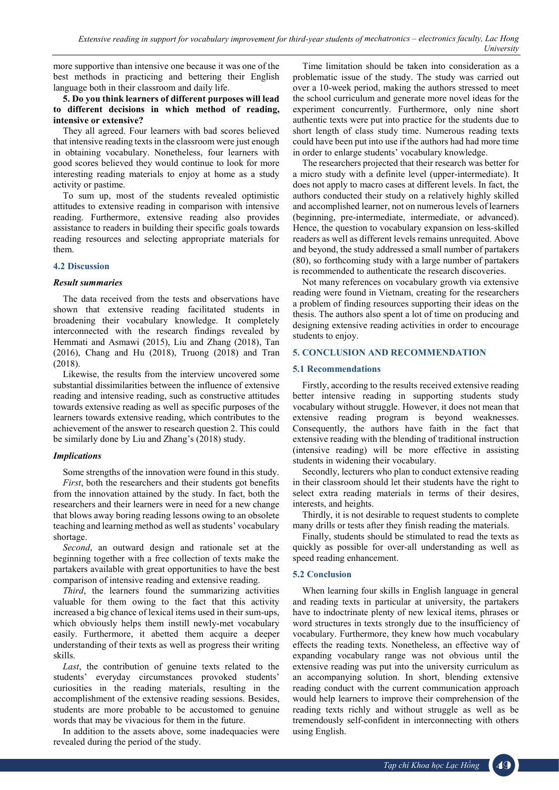more supportive than intensive one because it was one of the best methods in practicing and bettering their English language both in their classroom and daily life.

#### **5. Do you think learners of different purposes will lead to different decisions in which method of reading, intensive or extensive?**

They all agreed. Four learners with bad scores believed that intensive reading texts in the classroom were just enough in obtaining vocabulary. Nonetheless, four learners with good scores believed they would continue to look for more interesting reading materials to enjoy at home as a study activity or pastime.

To sum up, most of the students revealed optimistic attitudes to extensive reading in comparison with intensive reading. Furthermore, extensive reading also provides assistance to readers in building their specific goals towards reading resources and selecting appropriate materials for them.

## **4.2 Discussion**

## *Result summaries*

The data received from the tests and observations have shown that extensive reading facilitated students in broadening their vocabulary knowledge. It completely interconnected with the research findings revealed by Hemmati and Asmawi (2015), Liu and Zhang (2018), Tan (2016), Chang and Hu (2018), Truong (2018) and Tran (2018).

Likewise, the results from the interview uncovered some substantial dissimilarities between the influence of extensive reading and intensive reading, such as constructive attitudes towards extensive reading as well as specific purposes of the learners towards extensive reading, which contributes to the achievement of the answer to research question 2. This could be similarly done by Liu and Zhang's (2018) study.

## *Implications*

Some strengths of the innovation were found in this study.

*First*, both the researchers and their students got benefits from the innovation attained by the study. In fact, both the researchers and their learners were in need for a new change that blows away boring reading lessons owing to an obsolete teaching and learning method as well as students' vocabulary shortage.

*Second*, an outward design and rationale set at the beginning together with a free collection of texts make the partakers available with great opportunities to have the best comparison of intensive reading and extensive reading.

*Third*, the learners found the summarizing activities valuable for them owing to the fact that this activity increased a big chance of lexical items used in their sum-ups, which obviously helps them instill newly-met vocabulary easily. Furthermore, it abetted them acquire a deeper understanding of their texts as well as progress their writing skills.

*Last*, the contribution of genuine texts related to the students' everyday circumstances provoked students' curiosities in the reading materials, resulting in the accomplishment of the extensive reading sessions. Besides, students are more probable to be accustomed to genuine words that may be vivacious for them in the future.

In addition to the assets above, some inadequacies were revealed during the period of the study.

Time limitation should be taken into consideration as a problematic issue of the study. The study was carried out over a 10-week period, making the authors stressed to meet the school curriculum and generate more novel ideas for the experiment concurrently. Furthermore, only nine short authentic texts were put into practice for the students due to short length of class study time. Numerous reading texts could have been put into use if the authors had had more time in order to enlarge students' vocabulary knowledge.

The researchers projected that their research was better for a micro study with a definite level (upper-intermediate). It does not apply to macro cases at different levels. In fact, the authors conducted their study on a relatively highly skilled and accomplished learner, not on numerous levels of learners (beginning, pre-intermediate, intermediate, or advanced). Hence, the question to vocabulary expansion on less-skilled readers as well as different levels remains unrequited. Above and beyond, the study addressed a small number of partakers (80), so forthcoming study with a large number of partakers is recommended to authenticate the research discoveries.

Not many references on vocabulary growth via extensive reading were found in Vietnam, creating for the researchers a problem of finding resources supporting their ideas on the thesis. The authors also spent a lot of time on producing and designing extensive reading activities in order to encourage students to enjoy.

## **5. CONCLUSION AND RECOMMENDATION**

#### **5.1 Recommendations**

Firstly, according to the results received extensive reading better intensive reading in supporting students study vocabulary without struggle. However, it does not mean that extensive reading program is beyond weaknesses. Consequently, the authors have faith in the fact that extensive reading with the blending of traditional instruction (intensive reading) will be more effective in assisting students in widening their vocabulary.

Secondly, lecturers who plan to conduct extensive reading in their classroom should let their students have the right to select extra reading materials in terms of their desires, interests, and heights.

Thirdly, it is not desirable to request students to complete many drills or tests after they finish reading the materials.

Finally, students should be stimulated to read the texts as quickly as possible for over-all understanding as well as speed reading enhancement.

## **5.2 Conclusion**

When learning four skills in English language in general and reading texts in particular at university, the partakers have to indoctrinate plenty of new lexical items, phrases or word structures in texts strongly due to the insufficiency of vocabulary. Furthermore, they knew how much vocabulary effects the reading texts. Nonetheless, an effective way of expanding vocabulary range was not obvious until the extensive reading was put into the university curriculum as an accompanying solution. In short, blending extensive reading conduct with the current communication approach would help learners to improve their comprehension of the reading texts richly and without struggle as well as be tremendously self-confident in interconnecting with others using English.